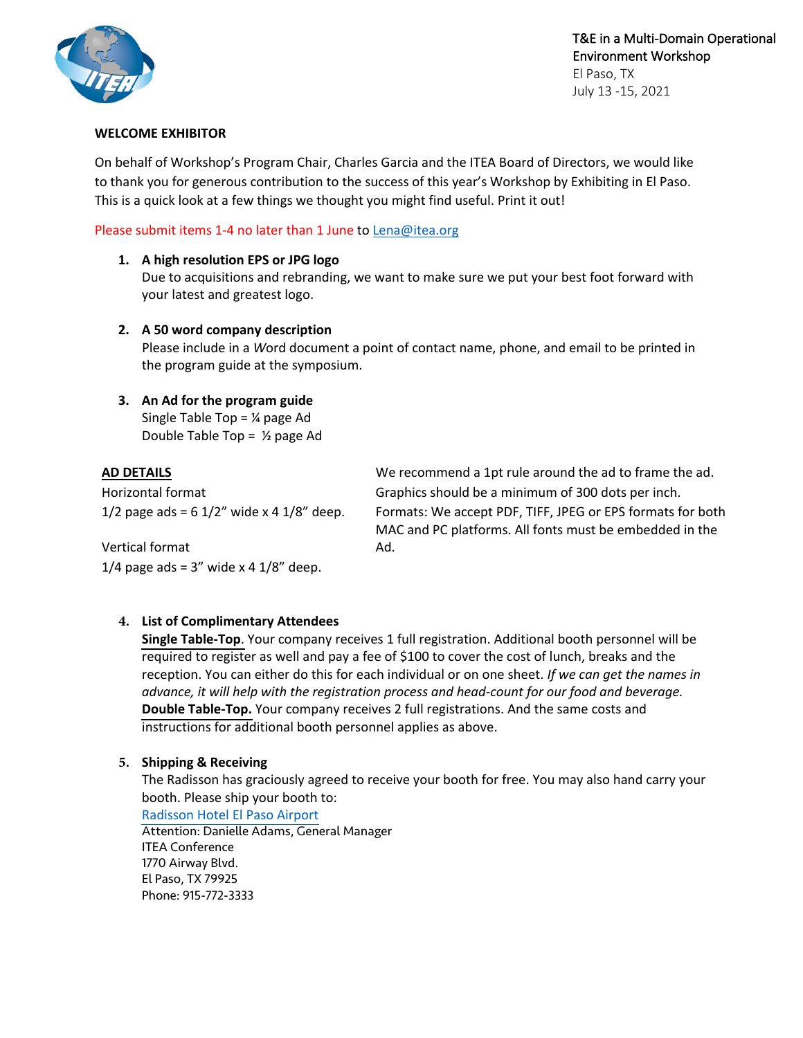

T&E in a Multi-Domain Operational Environment Workshop El Paso, TX

July 13 -15, 2021

### **WELCOME EXHIBITOR**

On behalf of Workshop's Program Chair, Charles Garcia and the ITEA Board of Directors, we would like to thank you for generous contribution to the success of this year's Workshop by Exhibiting in El Paso. This is a quick look at a few things we thought you might find useful. Print it out!

## Please submit items 1-4 no later than 1 June to Lena@itea.org

## **1. A high resolution EPS or JPG logo**

Due to acquisitions and rebranding, we want to make sure we put your best foot forward with your latest and greatest logo.

## **2. A 50 word company description**

Please include in a *W*ord document a point of contact name, phone, and email to be printed in the program guide at the symposium.

## **3. An Ad for the program guide**

Single Table Top =  $\frac{1}{4}$  page Ad Double Table Top =  $\frac{1}{2}$  page Ad

**AD DETAILS** We recommend a 1pt rule around the ad to frame the ad. Horizontal format Graphics should be a minimum of 300 dots per inch.  $1/2$  page ads = 6  $1/2$ " wide x 4  $1/8$ " deep. Formats: We accept PDF, TIFF, JPEG or EPS formats for both MAC and PC platforms. All fonts must be embedded in the Ad.

Vertical format 1/4 page ads =  $3''$  wide x 4 1/8" deep.

## **4. List of Complimentary Attendees**

**Single Table-Top**. Your company receives 1 full registration. Additional booth personnel will be required to register as well and pay a fee of \$100 to cover the cost of lunch, breaks and the reception. You can either do this for each individual or on one sheet. *If we can get the names in advance, it will help with the registration process and head-count for our food and beverage.* **Double Table-Top.** Your company receives 2 full registrations. And the same costs and instructions for additional booth personnel applies as above.

## **5. Shipping & Receiving**

The Radisson has graciously agreed to receive your booth for free. You may also hand carry your booth. Please ship your booth to:

[Radisson Hotel](https://www.radissonhotels.com/en-us/hotels/radisson-el-paso-airport) El Paso Airport Attention: Danielle Adams, General Manager ITEA Conference 1770 Airway Blvd. El Paso, TX 79925 Phone: 915-772-3333